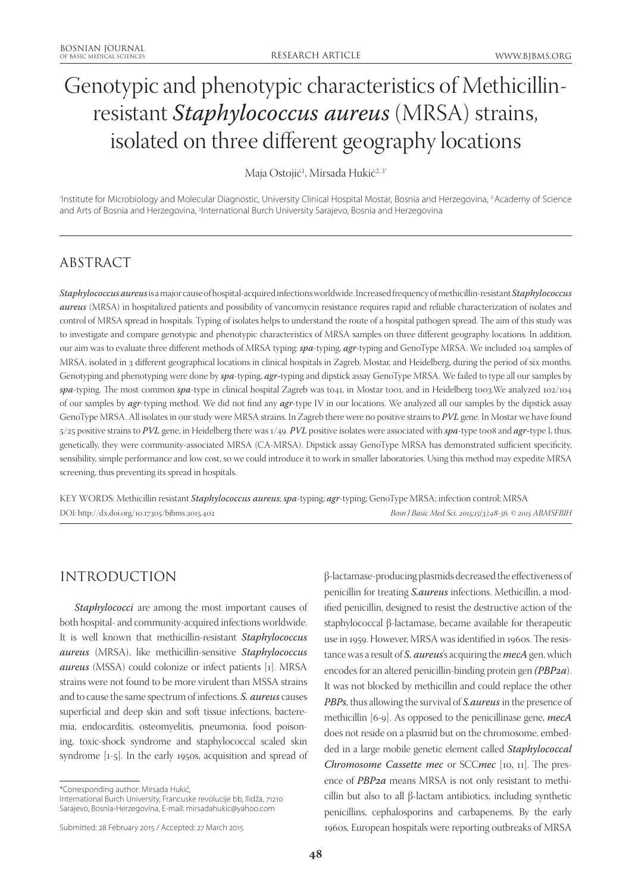# Genotypic and phenotypic characteristics of Methicillinresistant *Staphylococcus aureus* (MRSA) strains, isolated on three different geography locations

Maja Ostojić<sup>1</sup>, Mirsada Hukić<sup>2,3</sup>''

1 Institute for Microbiology and Molecular Diagnostic, University Clinical Hospital Mostar, Bosnia and Herzegovina, 2 Academy of Science and Arts of Bosnia and Herzegovina, <sup>3</sup>International Burch University Sarajevo, Bosnia and Herzegovina

# ABSTRACT

*Staphylococcus aureus* is a major cause of hospital-acquired infections worldwide. Increased frequency of methicillin-resistant *Staphylococcus aureus* (MRSA) in hospitalized patients and possibility of vancomycin resistance requires rapid and reliable characterization of isolates and control of MRSA spread in hospitals. Typing of isolates helps to understand the route of a hospital pathogen spread. The aim of this study was to investigate and compare genotypic and phenotypic characteristics of MRSA samples on three different geography locations. In addition, our aim was to evaluate three different methods of MRSA typing: *spa*-typing, *agr*-typing and GenoType MRSA. We included 104 samples of MRSA, isolated in 3 different geographical locations in clinical hospitals in Zagreb, Mostar, and Heidelberg, during the period of six months. Genotyping and phenotyping were done by *spa*-typing, *agr-*typing and dipstick assay GenoType MRSA. We failed to type all our samples by *spa*-typing. The most common *spa*-type in clinical hospital Zagreb was t041, in Mostar t001, and in Heidelberg t003.We analyzed 102/104 of our samples by *agr*-typing method. We did not find any *agr*-type IV in our locations. We analyzed all our samples by the dipstick assay GenoType MRSA. All isolates in our study were MRSA strains. In Zagreb there were no positive strains to *PVL* gene. In Mostar we have found 5/25 positive strains to *PVL* gene, in Heidelberg there was 1/49. *PVL* positive isolates were associated with *spa*-type t008 and *agr-*type I, thus, genetically, they were community-associated MRSA (CA-MRSA). Dipstick assay GenoType MRSA has demonstrated sufficient specificity, sensibility, simple performance and low cost, so we could introduce it to work in smaller laboratories. Using this method may expedite MRSA screening, thus preventing its spread in hospitals.

KEY WORDS: Methicillin resistant *Staphylococcus aureus*; *spa*-typing; *agr*-typing; GenoType MRSA; infection control; MRSA DOI: http://dx.doi.org/10.17305/bjbms.2015.402 *Bosn J Basic Med Sci. 2015;15(3):48-56. © 2015 ABMSFBIH*

## INTRODUCTION

*Staphylococci* are among the most important causes of both hospital- and community-acquired infections worldwide. It is well known that methicillin-resistant *Staphylococcus aureus* (MRSA), like methicillin-sensitive *Staphylococcus aureus* (MSSA) could colonize or infect patients [1]. MRSA strains were not found to be more virulent than MSSA strains and to cause the same spectrum of infections. *S. aureus* causes superficial and deep skin and soft tissue infections, bacteremia, endocarditis, osteomyelitis, pneumonia, food poisoning, toxic-shock syndrome and staphylococcal scaled skin syndrome [1-5]. In the early 1950s, acquisition and spread of

International Burch University, Francuske revolucije bb, Ilidža, 71210 Sarajevo, Bosnia-Herzegovina, E-mail: mirsadahukic@yahoo.com

β-lactamase-producing plasmids decreased the effectiveness of penicillin for treating *S.aureus* infections. Methicillin, a modified penicillin, designed to resist the destructive action of the staphylococcal β-lactamase, became available for therapeutic use in 1959. However, MRSA was identified in 1960s. The resistance was a result of *S. aureus*'s acquiring the *mecA* gen, which encodes for an altered penicillin-binding protein gen *(PBP2a*). It was not blocked by methicillin and could replace the other *PBPs*, thus allowing the survival of *S.aureus* in the presence of methicillin [6-9]. As opposed to the penicillinase gene, *mecA* does not reside on a plasmid but on the chromosome, embedded in a large mobile genetic element called *Staphylococcal Chromosome Cassette mec* or SCC*mec* [10, 11]. The presence of *PBP2a* means MRSA is not only resistant to methicillin but also to all β-lactam antibiotics, including synthetic penicillins, cephalosporins and carbapenems. By the early 1960s, European hospitals were reporting outbreaks of MRSA

<sup>\*</sup>Corresponding author: Mirsada Hukić,

Submitted: 28 February 2015 / Accepted: 27 March 2015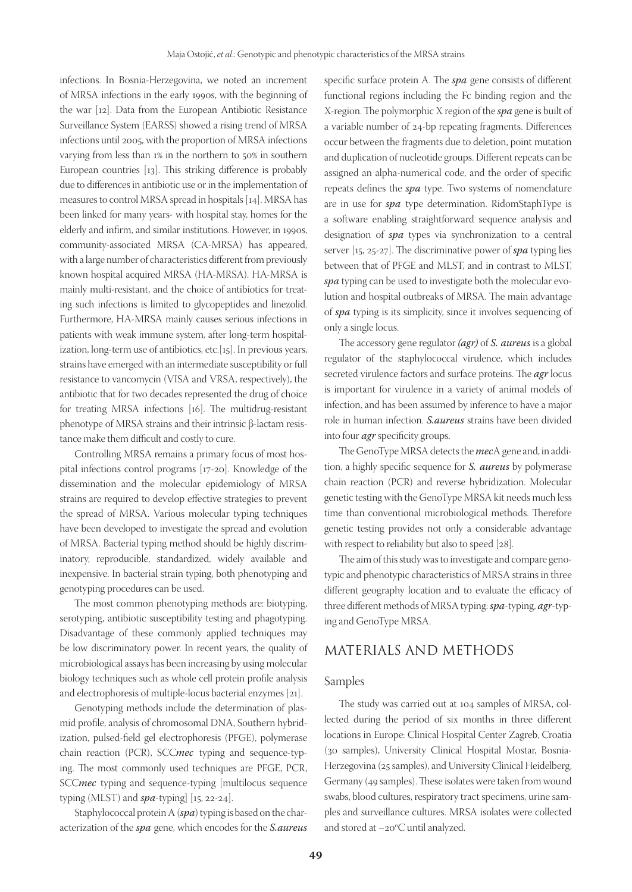infections. In Bosnia-Herzegovina, we noted an increment of MRSA infections in the early 1990s, with the beginning of the war [12]. Data from the European Antibiotic Resistance Surveillance System (EARSS) showed a rising trend of MRSA infections until 2005, with the proportion of MRSA infections varying from less than 1% in the northern to 50% in southern European countries [13]. This striking difference is probably due to differences in antibiotic use or in the implementation of measures to control MRSA spread in hospitals [14]. MRSA has been linked for many years- with hospital stay, homes for the elderly and infirm, and similar institutions. However, in 1990s, community-associated MRSA (CA-MRSA) has appeared, with a large number of characteristics different from previously known hospital acquired MRSA (HA-MRSA). HA-MRSA is mainly multi-resistant, and the choice of antibiotics for treating such infections is limited to glycopeptides and linezolid. Furthermore, HA-MRSA mainly causes serious infections in patients with weak immune system, after long-term hospitalization, long-term use of antibiotics, etc.[15]. In previous years, strains have emerged with an intermediate susceptibility or full resistance to vancomycin (VISA and VRSA, respectively), the antibiotic that for two decades represented the drug of choice for treating MRSA infections [16]. The multidrug-resistant phenotype of MRSA strains and their intrinsic β-lactam resistance make them difficult and costly to cure.

Controlling MRSA remains a primary focus of most hospital infections control programs [17-20]. Knowledge of the dissemination and the molecular epidemiology of MRSA strains are required to develop effective strategies to prevent the spread of MRSA. Various molecular typing techniques have been developed to investigate the spread and evolution of MRSA. Bacterial typing method should be highly discriminatory, reproducible, standardized, widely available and inexpensive. In bacterial strain typing, both phenotyping and genotyping procedures can be used.

The most common phenotyping methods are: biotyping, serotyping, antibiotic susceptibility testing and phagotyping. Disadvantage of these commonly applied techniques may be low discriminatory power. In recent years, the quality of microbiological assays has been increasing by using molecular biology techniques such as whole cell protein profile analysis and electrophoresis of multiple-locus bacterial enzymes [21].

Genotyping methods include the determination of plasmid profile, analysis of chromosomal DNA, Southern hybridization, pulsed-field gel electrophoresis (PFGE), polymerase chain reaction (PCR), SCC*mec* typing and sequence-typing. The most commonly used techniques are PFGE, PCR, SCC*mec* typing and sequence-typing [multilocus sequence typing (MLST) and *spa*-typing] [15, 22-24].

Staphylococcal protein A (*spa*) typing is based on the characterization of the *spa* gene, which encodes for the *S.aureus* specific surface protein A. The *spa* gene consists of different functional regions including the Fc binding region and the X-region. The polymorphic X region of the *spa* gene is built of a variable number of 24-bp repeating fragments. Differences occur between the fragments due to deletion, point mutation and duplication of nucleotide groups. Different repeats can be assigned an alpha-numerical code, and the order of specific repeats defines the *spa* type. Two systems of nomenclature are in use for *spa*  type determination. RidomStaphType is a software enabling straightforward sequence analysis and designation of *spa* types via synchronization to a central server [15, 25-27]. The discriminative power of *spa* typing lies between that of PFGE and MLST, and in contrast to MLST, *spa* typing can be used to investigate both the molecular evolution and hospital outbreaks of MRSA. The main advantage of *spa* typing is its simplicity, since it involves sequencing of only a single locus.

The accessory gene regulator *(agr)* of *S. aureus* is a global regulator of the staphylococcal virulence, which includes secreted virulence factors and surface proteins. The *agr* locus is important for virulence in a variety of animal models of infection, and has been assumed by inference to have a major role in human infection. *S.aureus* strains have been divided into four *agr* specificity groups.

The GenoType MRSA detects the *mec*A gene and, in addition, a highly specific sequence for *S. aureus* by polymerase chain reaction (PCR) and reverse hybridization. Molecular genetic testing with the GenoType MRSA kit needs much less time than conventional microbiological methods. Therefore genetic testing provides not only a considerable advantage with respect to reliability but also to speed [28].

The aim of this study was to investigate and compare genotypic and phenotypic characteristics of MRSA strains in three different geography location and to evaluate the efficacy of three different methods of MRSA typing: *spa*-typing, *agr*-typing and GenoType MRSA.

## MATERIALS AND METHODS

#### Samples

The study was carried out at 104 samples of MRSA, collected during the period of six months in three different locations in Europe: Clinical Hospital Center Zagreb, Croatia (30 samples), University Clinical Hospital Mostar, Bosnia-Herzegovina (25 samples), and University Clinical Heidelberg, Germany (49 samples). These isolates were taken from wound swabs, blood cultures, respiratory tract specimens, urine samples and surveillance cultures. MRSA isolates were collected and stored at  $-$ 20 $\rm ^oC$  until analyzed.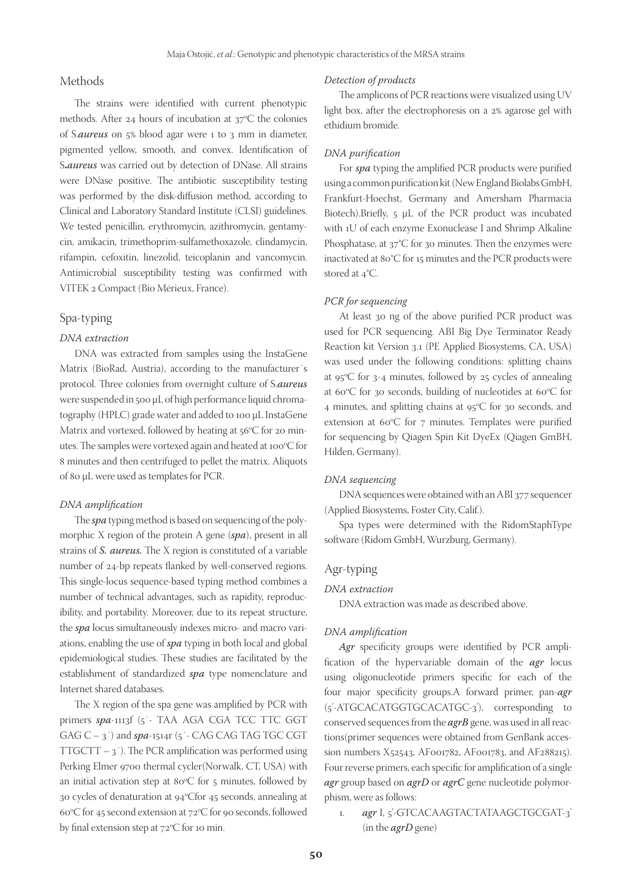## Methods

The strains were identified with current phenotypic methods. After 24 hours of incubation at  $37^{\circ}$ C the colonies of S.*aureus* on 5% blood agar were 1 to 3 mm in diameter, pigmented yellow, smooth, and convex. Identification of S**.***aureus* was carried out by detection of DNase. All strains were DNase positive. The antibiotic susceptibility testing was performed by the disk-diffusion method, according to Clinical and Laboratory Standard Institute (CLSI) guidelines. We tested penicillin, erythromycin, azithromycin, gentamycin, amikacin, trimethoprim-sulfamethoxazole, clindamycin, rifampin, cefoxitin, linezolid, teicoplanin and vancomycin. Antimicrobial susceptibility testing was confirmed with VITEK 2 Compact (Bio Mérieux, France).

## Spa-typing

#### *DNA extraction*

DNA was extracted from samples using the InstaGene Matrix (BioRad, Austria), according to the manufacturer´s protocol. Three colonies from overnight culture of S.*aureus*  were suspended in 500 μL of high performance liquid chromatography (HPLC) grade water and added to 100 μL InstaGene Matrix and vortexed, followed by heating at 56°C for 20 minutes. The samples were vortexed again and heated at 100°C for 8 minutes and then centrifuged to pellet the matrix. Aliquots of 80 μL were used as templates for PCR.

#### *DNA amplification*

The *spa* typing method is based on sequencing of the polymorphic X region of the protein A gene (*spa*), present in all strains of *S. aureus.* The X region is constituted of a variable number of 24-bp repeats flanked by well-conserved regions. This single-locus sequence-based typing method combines a number of technical advantages, such as rapidity, reproducibility, and portability. Moreover, due to its repeat structure, the *spa* locus simultaneously indexes micro- and macro variations, enabling the use of *spa* typing in both local and global epidemiological studies. These studies are facilitated by the establishment of standardized *spa* type nomenclature and Internet shared databases.

The X region of the spa gene was amplified by PCR with primers *spa*-1113f (5´- TAA AGA CGA TCC TTC GGT GAG  $C - 3'$ ) and  $spa$ -1514r (5´- CAG CAG TAG TGC CGT TTGCTT –  $3'$ ). The PCR amplification was performed using Perking Elmer 9700 thermal cycler(Norwalk, CT, USA) with an initial activation step at  $80^{\circ}$ C for 5 minutes, followed by 30 cycles of denaturation at 94°Cfor 45 seconds, annealing at 60°C for 45 second extension at 72°C for 90 seconds, followed by final extension step at 72°C for 10 min.

#### *Detection of products*

The amplicons of PCR reactions were visualized using UV light box, after the electrophoresis on a 2% agarose gel with ethidium bromide.

#### *DNA purification*

For *spa* typing the amplified PCR products were purified using a common purification kit (New England Biolabs GmbH, Frankfurt-Hoechst, Germany and Amersham Pharmacia Biotech).Briefly, 5 μL of the PCR product was incubated with 1U of each enzyme Exonuclease I and Shrimp Alkaline Phosphatase, at 37°C for 30 minutes. Then the enzymes were inactivated at 80°C for 15 minutes and the PCR products were stored at 4°C.

#### *PCR for sequencing*

At least 30 ng of the above purified PCR product was used for PCR sequencing. ABI Big Dye Terminator Ready Reaction kit Version 3.1 (PE Applied Biosystems, CA, USA) was used under the following conditions: splitting chains at  $95^{\circ}$ C for 3-4 minutes, followed by 25 cycles of annealing at 60 $\mathrm{^{\circ}C}$  for 30 seconds, building of nucleotides at 60 $\mathrm{^{\circ}C}$  for 4 minutes, and splitting chains at  $95^{\circ}$ C for 30 seconds, and extension at  $60^{\circ}$ C for  $7$  minutes. Templates were purified for sequencing by Qiagen Spin Kit DyeEx (Qiagen GmBH, Hilden, Germany).

#### *DNA sequencing*

DNA sequences were obtained with an ABI 377 sequencer (Applied Biosystems, Foster City, Calif.).

Spa types were determined with the RidomStaphType software (Ridom GmbH, Wurzburg, Germany).

#### Agr-typing

#### *DNA extraction*

DNA extraction was made as described above.

#### *DNA amplification*

Agr specificity groups were identified by PCR amplification of the hypervariable domain of the *agr* locus using oligonucleotide primers specific for each of the four major specificity groups.A forward primer, pan-*agr* (5'-ATGCACATGGTGCACATGC-3'), corresponding to conserved sequences from the *agrB* gene, was used in all reactions(primer sequences were obtained from GenBank accession numbers X52543, AF001782, AF001783, and AF288215). Four reverse primers, each specific for amplification of a single *agr* group based on *agrD* or *agrC* gene nucleotide polymorphism, were as follows:

1. *agr* I, 5'-GTCACAAGTACTATAAGCTGCGAT-3' (in the *agrD* gene)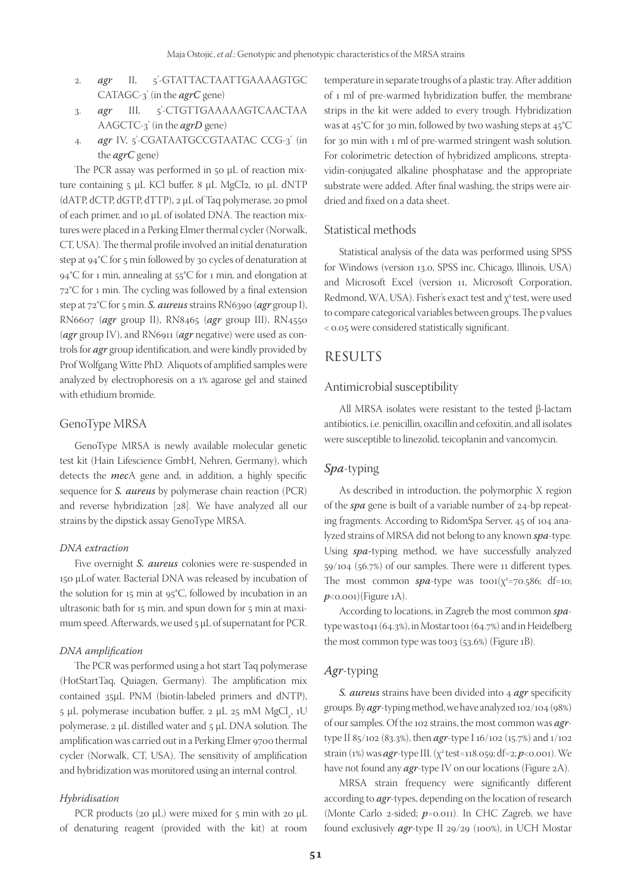- 2. *agr* II, 5'-GTATTACTAATTGAAAAGTGC CATAGC-3' (in the *agrC* gene)
- 3. *agr* III, 5'-CTGTTGAAAAAGTCAACTAA AAGCTC-3' (in the *agrD* gene)
- 4. *agr* IV, 5'-CGATAATGCCGTAATAC CCG-3' (in the *agrC* gene)

The PCR assay was performed in 50 μL of reaction mixture containing 5 μL KCl buffer, 8 μL MgCl2, 10 μL dNTP (dATP, dCTP, dGTP, dTTP), 2 μL of Taq polymerase, 20 pmol of each primer, and 10 μL of isolated DNA. The reaction mixtures were placed in a Perking Elmer thermal cycler (Norwalk, CT, USA). The thermal profile involved an initial denaturation step at 94°C for 5 min followed by 30 cycles of denaturation at 94°C for 1 min, annealing at 55°C for 1 min, and elongation at 72°C for 1 min. The cycling was followed by a final extension step at 72°C for 5 min. *S. aureus* strains RN6390 (*agr* group I), RN6607 (*agr* group II), RN8465 (*agr* group III), RN4550 (*agr* group IV), and RN6911 (*agr* negative) were used as controls for *agr* group identification, and were kindly provided by Prof Wolfgang Witte PhD. Aliquots of amplified samples were analyzed by electrophoresis on a 1% agarose gel and stained with ethidium bromide.

## GenoType MRSA

GenoType MRSA is newly available molecular genetic test kit (Hain Lifescience GmbH, Nehren, Germany), which detects the *mec*A gene and, in addition, a highly specific sequence for *S. aureus* by polymerase chain reaction (PCR) and reverse hybridization [28]. We have analyzed all our strains by the dipstick assay GenoType MRSA.

#### *DNA extraction*

Five overnight *S. aureus* colonies were re-suspended in 150 μLof water. Bacterial DNA was released by incubation of the solution for 15 min at 95°C, followed by incubation in an ultrasonic bath for 15 min, and spun down for 5 min at maximum speed. Afterwards, we used 5 μL of supernatant for PCR.

#### *DNA amplification*

The PCR was performed using a hot start Taq polymerase (HotStartTaq, Quiagen, Germany). The amplification mix contained 35μL PNM (biotin-labeled primers and dNTP), 5 μL polymerase incubation buffer, 2 μL 25 mM  $MgCl<sub>2</sub>$ , 1U polymerase, 2 μL distilled water and 5 μL DNA solution. The amplification was carried out in a Perking Elmer 9700 thermal cycler (Norwalk, CT, USA). The sensitivity of amplification and hybridization was monitored using an internal control.

#### *Hybridisation*

PCR products (20 μL) were mixed for 5 min with 20 μL of denaturing reagent (provided with the kit) at room temperature in separate troughs of a plastic tray. After addition of 1 ml of pre-warmed hybridization buffer, the membrane strips in the kit were added to every trough. Hybridization was at 45°C for 30 min, followed by two washing steps at 45°C for 30 min with 1 ml of pre-warmed stringent wash solution. For colorimetric detection of hybridized amplicons, streptavidin-conjugated alkaline phosphatase and the appropriate substrate were added. After final washing, the strips were airdried and fixed on a data sheet.

### Statistical methods

Statistical analysis of the data was performed using SPSS for Windows (version 13.0, SPSS inc, Chicago, Illinois, USA) and Microsoft Excel (version 11, Microsoft Corporation, Redmond, WA, USA). Fisher's exact test and χ<sup>2</sup> test, were used to compare categorical variables between groups. The p values < 0.05 were considered statistically significant.

## RESULTS

#### Antimicrobial susceptibility

All MRSA isolates were resistant to the tested β-lactam antibiotics, i.e. penicillin, oxacillin and cefoxitin, and all isolates were susceptible to linezolid, teicoplanin and vancomycin.

## *Spa*-typing

As described in introduction, the polymorphic X region of the *spa* gene is built of a variable number of 24-bp repeating fragments. According to RidomSpa Server, 45 of 104 analyzed strains of MRSA did not belong to any known *spa*-type. Using *spa-*typing method, we have successfully analyzed 59/104 (56.7%) of our samples. There were 11 different types. The most common  $spa$ -type was too1 $(x^2=70.586; df=10;$ *p*<0.001)(Figure 1A).

According to locations, in Zagreb the most common *spa*type was t041 (64.3%), in Mostar t001 (64.7%) and in Heidelberg the most common type was too3 (53.6%) (Figure 1B).

## *Agr*-typing

*S. aureus* strains have been divided into 4 *agr* specificity groups. By *agr*-typing method, we have analyzed 102/104 (98%) of our samples. Of the 102 strains, the most common was *agr*type II 85/102 (83.3%), then *agr*-type I 16/102 (15.7%) and 1/102 strain (1%) was *agr*-type III. (χ<sup>2</sup> test=118.059; df=2; *p*<0.001). We have not found any *agr*-type IV on our locations (Figure 2A).

MRSA strain frequency were significantly different according to *agr*-types, depending on the location of research (Monte Carlo 2-sided; *p*=0.011). In CHC Zagreb, we have found exclusively *agr*-type II 29/29 (100%), in UCH Mostar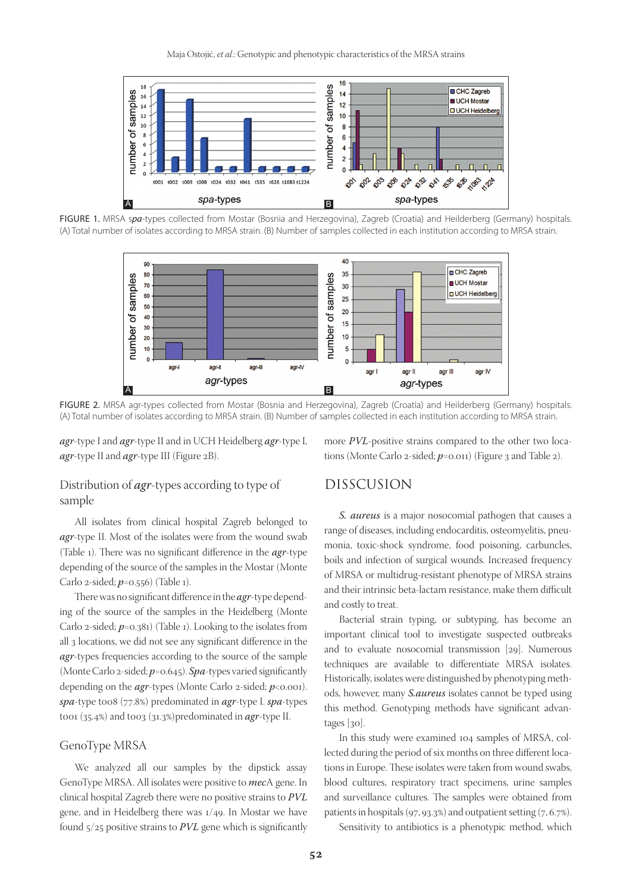

FIGURE 1. MRSA s*pa*-types collected from Mostar (Bosnia and Herzegovina), Zagreb (Croatia) and Heilderberg (Germany) hospitals. (A) Total number of isolates according to MRSA strain. (B) Number of samples collected in each institution according to MRSA strain.



FIGURE 2. MRSA agr-types collected from Mostar (Bosnia and Herzegovina), Zagreb (Croatia) and Heilderberg (Germany) hospitals. (A) Total number of isolates according to MRSA strain. (B) Number of samples collected in each institution according to MRSA strain.

*agr*-type I and *agr*-type II and in UCH Heidelberg *agr*-type I, *agr*-type II and *agr*-type III (Figure 2B).

more *PVL*-positive strains compared to the other two locations (Monte Carlo 2-sided;  $p=0.011$ ) (Figure 3 and Table 2).

## Distribution of *agr*-types according to type of sample

All isolates from clinical hospital Zagreb belonged to *agr*-type II. Most of the isolates were from the wound swab (Table 1). There was no significant difference in the *agr*-type depending of the source of the samples in the Mostar (Monte Carlo 2-sided; *p*=0.556) (Table 1).

There was no significant difference in the *agr*-type depending of the source of the samples in the Heidelberg (Monte Carlo 2-sided; *p*=0.381) (Table 1). Looking to the isolates from all 3 locations, we did not see any significant difference in the *agr*-types frequencies according to the source of the sample (Monte Carlo 2-sided; *p*=0.645). *Spa*-types varied significantly depending on the *agr*-types (Monte Carlo 2-sided; *p*<0.001). *spa*-type t008 (77.8%) predominated in *agr*-type I. *spa*-types t001 (35.4%) and t003 (31.3%)predominated in *agr*-type II.

#### GenoType MRSA

We analyzed all our samples by the dipstick assay GenoType MRSA. All isolates were positive to *mec*A gene. In clinical hospital Zagreb there were no positive strains to *PVL*  gene, and in Heidelberg there was 1/49. In Mostar we have found 5/25 positive strains to *PVL* gene which is significantly

## DISSCUSION

*S. aureus* is a major nosocomial pathogen that causes a range of diseases, including endocarditis, osteomyelitis, pneumonia, toxic-shock syndrome, food poisoning, carbuncles, boils and infection of surgical wounds. Increased frequency of MRSA or multidrug-resistant phenotype of MRSA strains and their intrinsic beta-lactam resistance, make them difficult and costly to treat.

Bacterial strain typing, or subtyping, has become an important clinical tool to investigate suspected outbreaks and to evaluate nosocomial transmission [29]. Numerous techniques are available to differentiate MRSA isolates. Historically, isolates were distinguished by phenotyping methods, however, many *S.aureus* isolates cannot be typed using this method. Genotyping methods have significant advantages [30].

In this study were examined 104 samples of MRSA, collected during the period of six months on three different locations in Europe. These isolates were taken from wound swabs, blood cultures, respiratory tract specimens, urine samples and surveillance cultures. The samples were obtained from patients in hospitals (97, 93.3%) and outpatient setting  $(7, 6.7\%)$ .

Sensitivity to antibiotics is a phenotypic method, which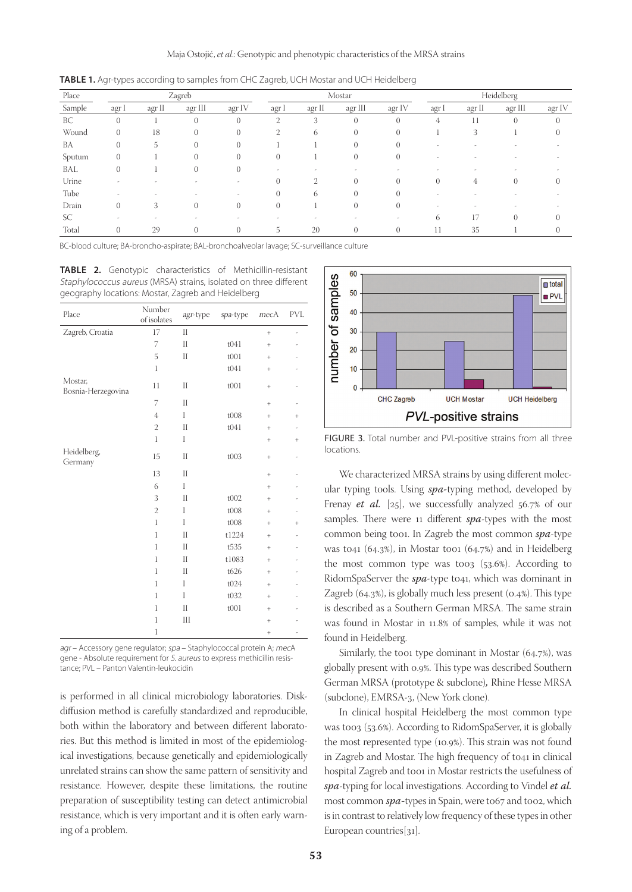| Place  | Zagreb         |        |                |                | Mostar         |        |                |                | Heidelberg |        |          |          |
|--------|----------------|--------|----------------|----------------|----------------|--------|----------------|----------------|------------|--------|----------|----------|
| Sample | agr I          | agr II | agr III        | agr IV         | agr I          | agr II | agr III        | agr IV         | agr I      | agr II | agr III  | agr IV   |
| BC     | $\overline{0}$ |        | $\Omega$       | $\theta$       | $\mathfrak{2}$ | 3      | $\theta$       | $\overline{0}$ | 4          | 11     | $\theta$ | $\theta$ |
| Wound  | $\overline{0}$ | 18     | $\Omega$       | $\Omega$       | 2              | 6      | $\Omega$       | $\Omega$       |            | 3      |          |          |
| BA     | $\overline{0}$ | 5      | $\Omega$       | $\overline{0}$ |                |        | $\Omega$       | $\Omega$       |            |        |          |          |
| Sputum | $\overline{0}$ |        | $\Omega$       | $\Omega$       |                |        | $\Omega$       | $\Omega$       |            |        |          |          |
| BAL    | $\overline{0}$ |        | $\overline{0}$ | $\theta$       |                |        |                |                |            |        |          |          |
| Urine  |                |        |                |                |                | 2      |                | $\Omega$       | $\Omega$   | 4      |          |          |
| Tube   |                |        |                | ۰              | $\Omega$       | 6      | $\Omega$       | $\Omega$       |            |        |          |          |
| Drain  | $\overline{0}$ | 3      | $\overline{0}$ | $\theta$       | $\Omega$       |        | $\overline{0}$ | $\theta$       |            |        |          |          |
| SC     |                |        |                |                |                |        |                |                | 6          | 17     | 0        |          |
| Total  | $\theta$       | 29     | $\Omega$       | 0              | 5              | 20     | $\left($       | $\Omega$       | 11         | 35     |          |          |

**TABLE 1.** Agr-types according to samples from CHC Zagreb, UCH Mostar and UCH Heidelberg

BC-blood culture; BA-broncho-aspirate; BAL-bronchoalveolar lavage; SC-surveillance culture

**TABLE 2.** Genotypic characteristics of Methicillin-resistant Staphylococcus aureus (MRSA) strains, isolated on three different geography locations: Mostar, Zagreb and Heidelberg

| Place                         | Number<br>of isolates | agr-type | spa-type | mecA      | <b>PVL</b> |
|-------------------------------|-----------------------|----------|----------|-----------|------------|
| Zagreb, Croatia               | 17                    | $\prod$  |          | $\ddot{}$ | L,         |
|                               | 7                     | $\prod$  | t041     | $\ddot{}$ |            |
|                               | 5                     | $\prod$  | t001     | $+$       |            |
|                               | $\mathbf{1}$          |          | t041     | $^{+}$    |            |
| Mostar,<br>Bosnia-Herzegovina | 11                    | $\prod$  | t001     | $+$       |            |
|                               | 7                     | $\prod$  |          | $+$       |            |
|                               | $\overline{4}$        | I        | t008     | $+$       | $^{+}$     |
|                               | $\overline{2}$        | $\prod$  | t041     | $\ddot{}$ |            |
|                               | $\mathbf{1}$          | I        |          | $^{+}$    | $^{+}$     |
| Heidelberg,<br>Germany        | 15                    | $\prod$  | t003     | $^{+}$    | ÷,         |
|                               | 13                    | $\prod$  |          | $^{+}$    |            |
|                               | 6                     | I        |          | $^{+}$    |            |
|                               | 3                     | $\prod$  | t002     | $^{+}$    |            |
|                               | $\overline{2}$        | I        | t008     | $^{+}$    |            |
|                               | $\mathbf{1}$          | I        | t008     | $+$       | $^{+}$     |
|                               | $\mathbf{1}$          | $\prod$  | t1224    | $+$       |            |
|                               | 1                     | $\prod$  | t535     | $+$       |            |
|                               | 1                     | $\prod$  | t1083    | $+$       |            |
|                               | $\overline{1}$        | $\prod$  | t626     | $\ddot{}$ |            |
|                               | $\mathbf{1}$          | I        | t024     | $^{+}$    |            |
|                               | 1                     | I        | t032     | $+$       |            |
|                               | 1                     | $\prod$  | t001     | $+$       |            |
|                               | 1                     | Ш        |          | $+$       |            |
|                               | 1                     |          |          | $^{+}$    | Ĭ.         |

agr - Accessory gene regulator; spa - Staphylococcal protein A; mecA gene - Absolute requirement for S. aureus to express methicillin resistance; PVL – Panton Valentin-leukocidin

is performed in all clinical microbiology laboratories. Diskdiffusion method is carefully standardized and reproducible, both within the laboratory and between different laboratories. But this method is limited in most of the epidemiological investigations, because genetically and epidemiologically unrelated strains can show the same pattern of sensitivity and resistance. However, despite these limitations, the routine preparation of susceptibility testing can detect antimicrobial resistance, which is very important and it is often early warning of a problem.



FIGURE 3. Total number and PVL-positive strains from all three locations.

We characterized MRSA strains by using different molecular typing tools. Using *spa-*typing method, developed by Frenay *et al.* [25], we successfully analyzed 56.7% of our samples. There were 11 different *spa*-types with the most common being t001. In Zagreb the most common *spa*-type was t041 (64.3%), in Mostar too1 (64.7%) and in Heidelberg the most common type was too3  $(53.6%)$ . According to RidomSpaServer the *spa*-type t041, which was dominant in Zagreb (64.3%), is globally much less present (0.4%). This type is described as a Southern German MRSA. The same strain was found in Mostar in 11.8% of samples, while it was not found in Heidelberg.

Similarly, the too1 type dominant in Mostar (64.7%), was globally present with 0.9%. This type was described Southern German MRSA (prototype & subclone)*,* Rhine Hesse MRSA (subclone), EMRSA-3, (New York clone).

In clinical hospital Heidelberg the most common type was too3 (53.6%). According to RidomSpaServer, it is globally the most represented type (10.9%). This strain was not found in Zagreb and Mostar. The high frequency of t041 in clinical hospital Zagreb and t001 in Mostar restricts the usefulness of *spa*-typing for local investigations. According to Vindel *et al.*  most common *spa*-types in Spain, were to67 and too2, which is in contrast to relatively low frequency of these types in other European countries[31].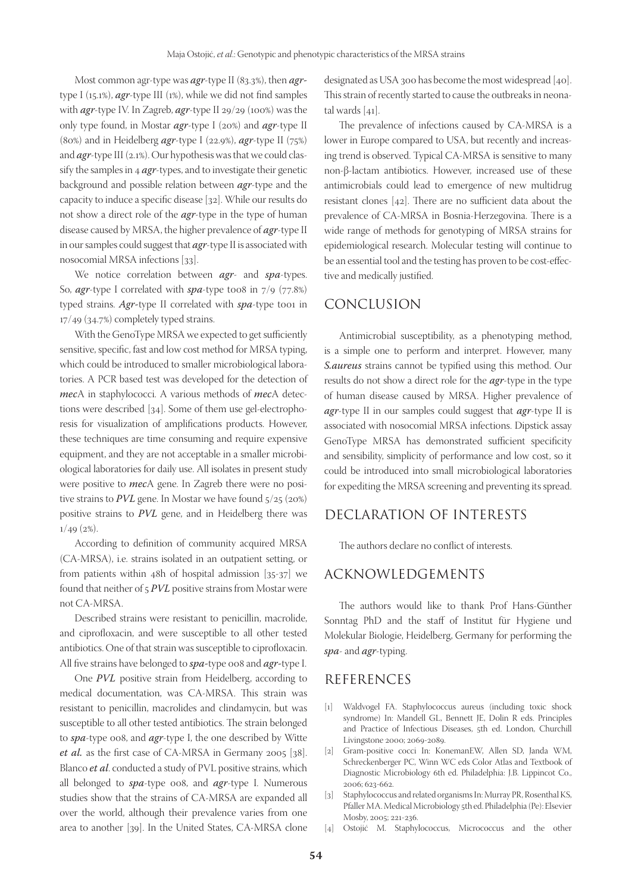Most common agr-type was *agr*-type II (83.3%), then *agr*type I (15.1%), *agr*-type III (1%), while we did not find samples with *agr*-type IV. In Zagreb, *agr*-type II 29/29 (100%) was the only type found, in Mostar *agr*-type I (20%) and *agr*-type II (80%) and in Heidelberg *agr*-type I (22.9%), *agr*-type II (75%) and *agr*-type III (2.1%). Our hypothesis was that we could classify the samples in 4 *agr*-types, and to investigate their genetic background and possible relation between *agr*-type and the capacity to induce a specific disease [32]. While our results do not show a direct role of the *agr*-type in the type of human disease caused by MRSA, the higher prevalence of *agr*-type II in our samples could suggest that *agr*-type II is associated with nosocomial MRSA infections [33].

We notice correlation between *agr*- and *spa*-types. So, *agr*-type I correlated with *spa*-type t008 in 7/9 (77.8%) typed strains. Agr-type II correlated with *spa*-type too1 in 17/49 (34.7%) completely typed strains.

With the GenoType MRSA we expected to get sufficiently sensitive, specific, fast and low cost method for MRSA typing, which could be introduced to smaller microbiological laboratories. A PCR based test was developed for the detection of *mec*A in staphylococci. A various methods of *mec*A detections were described [34]. Some of them use gel-electrophoresis for visualization of amplifications products. However, these techniques are time consuming and require expensive equipment, and they are not acceptable in a smaller microbiological laboratories for daily use. All isolates in present study were positive to *mec*A gene. In Zagreb there were no positive strains to *PVL* gene. In Mostar we have found  $5/25$  (20%) positive strains to *PVL* gene, and in Heidelberg there was  $1/49$  (2%).

According to definition of community acquired MRSA (CA-MRSA), i.e. strains isolated in an outpatient setting, or from patients within 48h of hospital admission [35-37] we found that neither of 5 *PVL* positive strains from Mostar were not CA-MRSA.

Described strains were resistant to penicillin, macrolide, and ciprofloxacin, and were susceptible to all other tested antibiotics. One of that strain was susceptible to ciprofloxacin. All five strains have belonged to *spa-*type 008 and *agr-*type I.

One *PVL* positive strain from Heidelberg, according to medical documentation, was CA-MRSA. This strain was resistant to penicillin, macrolides and clindamycin, but was susceptible to all other tested antibiotics. The strain belonged to *spa*-type 008, and *agr*-type I, the one described by Witte *et al.* as the first case of CA-MRSA in Germany 2005 [38]. Blanco *et al*. conducted a study of PVL positive strains, which all belonged to *spa*-type 008, and *agr*-type I. Numerous studies show that the strains of CA-MRSA are expanded all over the world, although their prevalence varies from one area to another [39]. In the United States, CA-MRSA clone

designated as USA 300 has become the most widespread [40]. This strain of recently started to cause the outbreaks in neonatal wards [41].

The prevalence of infections caused by CA-MRSA is a lower in Europe compared to USA, but recently and increasing trend is observed. Typical CA-MRSA is sensitive to many non-β-lactam antibiotics. However, increased use of these antimicrobials could lead to emergence of new multidrug resistant clones [42]. There are no sufficient data about the prevalence of CA-MRSA in Bosnia-Herzegovina. There is a wide range of methods for genotyping of MRSA strains for epidemiological research. Molecular testing will continue to be an essential tool and the testing has proven to be cost-effective and medically justified.

## CONCLUSION

Antimicrobial susceptibility, as a phenotyping method, is a simple one to perform and interpret. However, many *S.aureus* strains cannot be typified using this method. Our results do not show a direct role for the *agr*-type in the type of human disease caused by MRSA. Higher prevalence of *agr*-type II in our samples could suggest that *agr*-type II is associated with nosocomial MRSA infections. Dipstick assay GenoType MRSA has demonstrated sufficient specificity and sensibility, simplicity of performance and low cost, so it could be introduced into small microbiological laboratories for expediting the MRSA screening and preventing its spread.

## DECLARATION OF INTERESTS

The authors declare no conflict of interests.

## ACKNOWLEDGEMENTS

The authors would like to thank Prof Hans-Günther Sonntag PhD and the staff of Institut für Hygiene und Molekular Biologie, Heidelberg, Germany for performing the *spa*- and *agr*-typing.

## REFERENCES

- [1] Waldvogel FA. Staphylococcus aureus (including toxic shock syndrome) In: Mandell GL, Bennett JE, Dolin R eds. Principles and Practice of Infectious Diseases, 5th ed. London, Churchill Livingstone 2000; 2069-2089.
- [2] Gram-positive cocci In: KonemanEW, Allen SD, Janda WM, Schreckenberger PC, Winn WC eds Color Atlas and Textbook of Diagnostic Microbiology 6th ed. Philadelphia: J.B. Lippincot Co., 2006; 623-662.
- [3] Staphylococcus and related organisms In: Murray PR, Rosenthal KS, Pfaller MA. Medical Microbiology 5th ed. Philadelphia (Pe): Elsevier Mosby, 2005; 221-236.
- [4] Ostojić M. Staphylococcus, Micrococcus and the other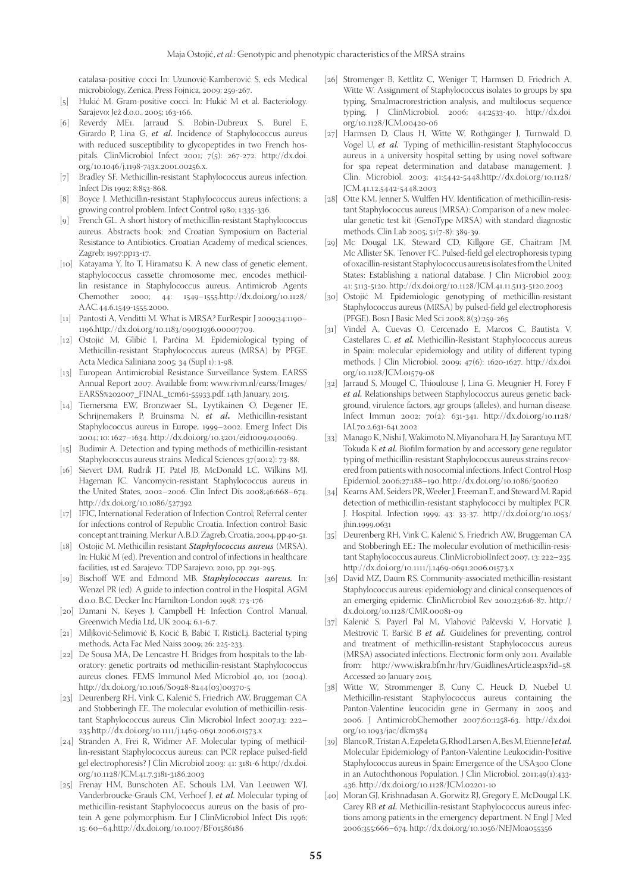catalasa-positive cocci In: Uzunović-Kamberović S, eds Medical microbiology, Zenica, Press Fojnica, 2009; 259-267.

- [5] Hukić M. Gram-positive cocci. In: Hukić M et al. Bacteriology. Sarajevo: Jež d.o.o., 2005; 163-166.
- [6] Reverdy ME1, Jarraud S, Bobin-Dubreux S, Burel E, Girardo P, Lina G, *et al.* Incidence of Staphylococcus aureus with reduced susceptibility to glycopeptides in two French hospitals. ClinMicrobiol Infect 2001; 7(5): 267-272. http://dx.doi. org/10.1046/j.1198-743x.2001.00256.x.
- [7] Bradley SF. Methicillin-resistant Staphylococcus aureus infection. Infect Dis 1992; 8:853-868.
- [8] Boyce J. Methicillin-resistant Staphylococcus aureus infections: a growing control problem. Infect Control 1980; 1:335-336.
- [9] French GL. A short history of methicillin-resistant Staphylococcus aureus. Abstracts book: 2nd Croatian Symposium on Bacterial Resistance to Antibiotics. Croatian Academy of medical sciences, Zagreb; 1997:pp13-17.
- [10] Katayama Y, Ito T, Hiramatsu K. A new class of genetic element, staphylococcus cassette chromosome mec, encodes methicillin resistance in Staphylococcus aureus. Antimicrob Agents Chemother 2000; 44: 1549–1555.http://dx.doi.org/10.1128/ AAC.44.6.1549-1555.2000.
- [11] Pantosti A, Venditti M. What is MRSA? EurRespir J 2009;34:1190– 1196.http://dx.doi.org/10.1183/09031936.00007709.
- [12] Ostojić M, Glibić I, Parčina M. Epidemiological typing of Methicillin-resistant Staphylococcus aureus (MRSA) by PFGE. Acta Medica Saliniana 2005; 34 (Supl 1): 1-98.
- [13] European Antimicrobial Resistance Surveillance System. EARSS Annual Report 2007. Available from: www.rivm.nl/earss/Images/ EARSS%202007\_FINAL\_tcm61-55933.pdf. 14th January, 2015.
- [14] Tiemersma EW, Bronzwaer SL, Lyytikainen O, Degener JE, Schrijnemakers P, Bruinsma N, *et al***.** Methicillin-resistant Staphylococcus aureus in Europe, 1999–2002. Emerg Infect Dis 2004; 10: 1627–1634. http://dx.doi.org/10.3201/eid1009.040069.
- [15] Budimir A. Detection and typing methods of methicillin-resistant Staphylococcus aureus strains. Medical Sciences 37(2012): 73-88.
- [16] Sievert DM, Rudrik JT, Patel JB, McDonald LC, Wilkins MJ, Hageman JC. Vancomycin-resistant Staphylococcus aureus in the United States, 2002–2006. Clin Infect Dis 2008;46:668–674. http://dx.doi.org/10.1086/527392
- [17] IFIC, International Federation of Infection Control; Referral center for infections control of Republic Croatia. Infection control: Basic concept ant training. Merkur A.B.D. Zagreb, Croatia, 2004, pp 40-51.
- [18] Ostojić M. Methicillin resistant *Staphylococcus aureus* (MRSA). In: Hukić M (ed). Prevention and control of infections in healthcare facilities, 1st ed. Sarajevo: TDP Sarajevo; 2010, pp. 291-295.
- [19] Bischoff WE and Edmond MB. *Staphylococcus aureus.* In: Wenzel PR (ed). A guide to infection control in the Hospital. AGM d.o.o. B.C. Decker Inc Hamilton-London 1998; 173-176
- [20] Damani N, Keyes J, Campbell H: Infection Control Manual, Greenwich Media Ltd, UK 2004; 6.1-6.7.
- [21] Miljković-Selimović B, Kocić B, Babić T, RistićLj. Bacterial typing methods, Acta Fac Med Naiss 2009; 26: 225-233.
- [22] De Sousa MA, De Lencastre H. Bridges from hospitals to the laboratory: genetic portraits od methicillin-resistant Staphylococcus aureus clones. FEMS Immunol Med Microbiol 40, 101 (2004). http://dx.doi.org/10.1016/S0928-8244(03)00370-5
- [23] Deurenberg RH, Vink C, Kalenić S, Friedrich AW, Bruggeman CA and Stobberingh EE. The molecular evolution of methicillin-resistant Staphylococcus aureus. Clin Microbiol Infect 2007;13: 222– 235.http://dx.doi.org/10.1111/j.1469-0691.2006.01573.x
- [24] Stranden A, Frei R, Widmer AF. Molecular typing of methicillin-resistant Staphylococcus aureus; can PCR replace pulsed-field gel electrophoresis? J Clin Microbiol 2003: 41: 3181-6 http://dx.doi. org/10.1128/JCM.41.7.3181-3186.2003
- [25] Frenay HM, Bunschoten AE, Schouls LM, Van Leeuwen WJ, Vanderbroucke-Grauls CM, Verhoef J, *et al*. Molecular typing of methicillin-resistant Staphylococcus aureus on the basis of protein A gene polymorphism. Eur J ClinMicrobiol Infect Dis 1996; 15: 60–64.http://dx.doi.org/10.1007/BF01586186
- [26] Stromenger B, Kettlitz C, Weniger T, Harmsen D, Friedrich A, Witte W. Assignment of Staphylococcus isolates to groups by spa typing, SmaImacrorestriction analysis, and multilocus sequence typing. J ClinMicrobiol. 2006; 44:2533-40. http://dx.doi. org/10.1128/JCM.00420-06
- [27] Harmsen D, Claus H, Witte W, Rothgänger J, Turnwald D, Vogel U, *et al.* Typing of methicillin-resistant Staphylococcus aureus in a university hospital setting by using novel software for spa repeat determination and database management. J. Clin. Microbiol. 2003; 41:5442-5448.http://dx.doi.org/10.1128/ JCM.41.12.5442-5448.2003
- [28] Otte KM, Jenner S, Wulffen HV. Identification of methicillin-resistant Staphylococcus aureus (MRSA): Comparison of a new molecular genetic test kit (GenoType MRSA) with standard diagnostic methods. Clin Lab 2005; 51(7-8): 389-39.
- [29] Mc Dougal LK, Steward CD, Killgore GE, Chaitram JM, Mc Allister SK, Tenover FC. Pulsed-field gel electrophoresis typing of oxacillin-resistant Staphylococcus aureus isolates from the United States: Establishing a national database. J Clin Microbiol 2003; 41: 5113-5120. http://dx.doi.org/10.1128/JCM.41.11.5113-5120.2003
- [30] Ostojić M. Epidemiologic genotyping of methicillin-resistant Staphylococcus aureus (MRSA) by pulsed-field gel electrophoresis (PFGE). Bosn J Basic Med Sci 2008; 8(3):259-265
- [31] Vindel A, Cuevas O, Cercenado E, Marcos C, Bautista V, Castellares C, *et al.* Methicillin-Resistant Staphylococcus aureus in Spain: molecular epidemiology and utility of different typing methods. J Clin Microbiol. 2009; 47(6): 1620-1627. http://dx.doi. org/10.1128/JCM.01579-08
- [32] Jarraud S, Mougel C, Thioulouse J, Lina G, Meugnier H, Forey F *et al.* Relationships between Staphylococcus aureus genetic background, virulence factors, agr groups (alleles), and human disease. Infect Immun 2002; 70(2): 631-341. http://dx.doi.org/10.1128/ IAI.70.2.631-641.2002
- [33] Manago K, Nishi J, Wakimoto N, Miyanohara H, Jay Sarantuya MT, Tokuda K *et al.* Biofilm formation by and accessory gene regulator typing of methicillin-resistant Staphylococcus aureus strains recovered from patients with nosocomial infections. Infect Control Hosp Epidemiol. 2006;27:188–190. http://dx.doi.org/10.1086/500620
- [34] Kearns AM, Seiders PR, Weeler J, Freeman E, and Steward M. Rapid detection of methicillin-resistant staphylococci by multiplex PCR. J. Hospital. Infection 1999; 43: 33-37. http://dx.doi.org/10.1053/ jhin.1999.0631
- [35] Deurenberg RH, Vink C, Kalenić S, Friedrich AW, Bruggeman CA and Stobberingh EE.: The molecular evolution of methicillin-resistant Staphylococcus aureus. ClinMicrobiolInfect 2007, 13: 222–235. http://dx.doi.org/10.1111/j.1469-0691.2006.01573.x
- [36] David MZ, Daum RS. Community-associated methicillin-resistant Staphylococcus aureus: epidemiology and clinical consequences of an emerging epidemic. ClinMicrobiol Rev 2010;23:616-87. http:// dx.doi.org/10.1128/CMR.00081-09
- [37] Kalenić S, Payerl Pal M, Vlahović Palčevski V, Horvatić J, Meštrović T, Baršić B *et al.* Guidelines for preventing, control and treatment of methicillin-resistant Staphylococcus aureus (MRSA) associated infections. Electronic form only 2011. Available from: http://www.iskra.bfm.hr/hrv/GuidlinesArticle.aspx?id=58. Accessed 20 January 2015.
- [38] Witte W, Strommenger B, Cuny C, Heuck D, Nuebel U. Methicillin-resistant Staphylococcus aureus containing the Panton-Valentine leucocidin gene in Germany in 2005 and 2006. J AntimicrobChemother 2007;60:1258-63. http://dx.doi. org/10.1093/jac/dkm384
- [39] Blanco R, Tristan A, Ezpeleta G, Rhod Larsen A, Bes M, Etienne Jetal. Molecular Epidemiology of Panton-Valentine Leukocidin-Positive Staphylococcus aureus in Spain: Emergence of the USA300 Clone in an Autochthonous Population. J Clin Microbiol. 2011;49(1):433- 436. http://dx.doi.org/10.1128/JCM.02201-10
- [40] Moran GJ, Krishnadasan A, Gorwitz RJ, Gregory E, McDougal LK, Carey RB *et al.* Methicillin-resistant Staphylococcus aureus infections among patients in the emergency department. N Engl J Med 2006;355:666–674. http://dx.doi.org/10.1056/NEJMoa055356